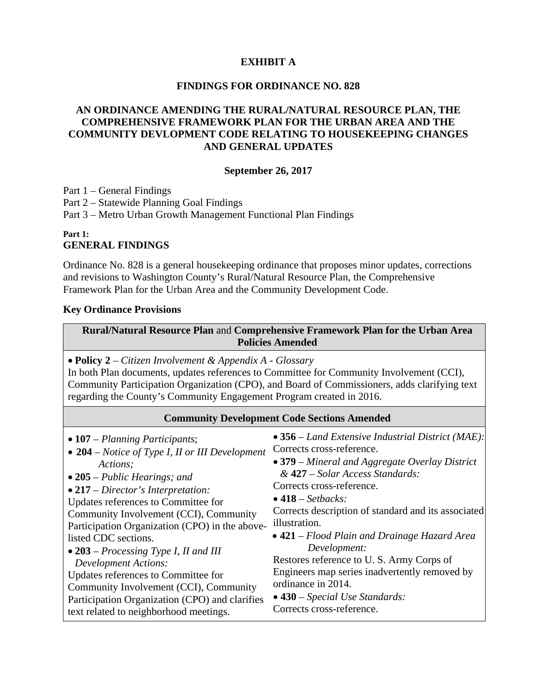## **EXHIBIT A**

### **FINDINGS FOR ORDINANCE NO. 828**

# **AN ORDINANCE AMENDING THE RURAL/NATURAL RESOURCE PLAN, THE COMPREHENSIVE FRAMEWORK PLAN FOR THE URBAN AREA AND THE COMMUNITY DEVLOPMENT CODE RELATING TO HOUSEKEEPING CHANGES AND GENERAL UPDATES**

#### **September 26, 2017**

Part 1 – General Findings

Part 2 – Statewide Planning Goal Findings

Part 3 – Metro Urban Growth Management Functional Plan Findings

**Part 1:** 

### **GENERAL FINDINGS**

Ordinance No. 828 is a general housekeeping ordinance that proposes minor updates, corrections and revisions to Washington County's Rural/Natural Resource Plan, the Comprehensive Framework Plan for the Urban Area and the Community Development Code.

### **Key Ordinance Provisions**

**Rural/Natural Resource Plan** and **Comprehensive Framework Plan for the Urban Area Policies Amended** 

**Policy 2** – *Citizen Involvement & Appendix A - Glossary* 

In both Plan documents, updates references to Committee for Community Involvement (CCI), Community Participation Organization (CPO), and Board of Commissioners, adds clarifying text regarding the County's Community Engagement Program created in 2016.

| <b>Community Development Code Sections Amended</b>                                                                                                                                                                                                                                                                                                                                                                                                                                                                                                                        |                                                                                                                                                                                                                                                                                                                                                                                                                                                                                                                                                    |
|---------------------------------------------------------------------------------------------------------------------------------------------------------------------------------------------------------------------------------------------------------------------------------------------------------------------------------------------------------------------------------------------------------------------------------------------------------------------------------------------------------------------------------------------------------------------------|----------------------------------------------------------------------------------------------------------------------------------------------------------------------------------------------------------------------------------------------------------------------------------------------------------------------------------------------------------------------------------------------------------------------------------------------------------------------------------------------------------------------------------------------------|
| $\bullet$ 107 – Planning Participants;<br>$\bullet$ 204 – Notice of Type I, II or III Development<br>Actions:<br>$\bullet$ 205 – Public Hearings; and<br>$\bullet$ 217 – Director's Interpretation:<br>Updates references to Committee for<br>Community Involvement (CCI), Community<br>Participation Organization (CPO) in the above-<br>listed CDC sections.<br>• 203 – Processing Type I, II and III<br><b>Development Actions:</b><br>Updates references to Committee for<br>Community Involvement (CCI), Community<br>Participation Organization (CPO) and clarifies | • 356 – Land Extensive Industrial District (MAE):<br>Corrects cross-reference.<br>$\bullet$ 379 – Mineral and Aggregate Overlay District<br>& 427 – Solar Access Standards:<br>Corrects cross-reference.<br>$\bullet$ 418 – Setbacks:<br>Corrects description of standard and its associated<br>illustration.<br>$\bullet$ 421 – Flood Plain and Drainage Hazard Area<br>Development:<br>Restores reference to U.S. Army Corps of<br>Engineers map series inadvertently removed by<br>ordinance in 2014.<br>$\bullet$ 430 – Special Use Standards: |
| text related to neighborhood meetings.                                                                                                                                                                                                                                                                                                                                                                                                                                                                                                                                    | Corrects cross-reference.                                                                                                                                                                                                                                                                                                                                                                                                                                                                                                                          |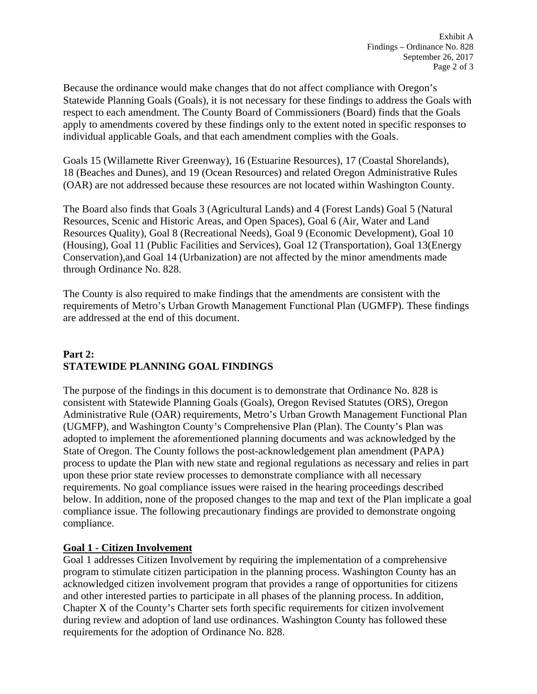Because the ordinance would make changes that do not affect compliance with Oregon's Statewide Planning Goals (Goals), it is not necessary for these findings to address the Goals with respect to each amendment. The County Board of Commissioners (Board) finds that the Goals apply to amendments covered by these findings only to the extent noted in specific responses to individual applicable Goals, and that each amendment complies with the Goals.

Goals 15 (Willamette River Greenway), 16 (Estuarine Resources), 17 (Coastal Shorelands), 18 (Beaches and Dunes), and 19 (Ocean Resources) and related Oregon Administrative Rules (OAR) are not addressed because these resources are not located within Washington County.

The Board also finds that Goals 3 (Agricultural Lands) and 4 (Forest Lands) Goal 5 (Natural Resources, Scenic and Historic Areas, and Open Spaces), Goal 6 (Air, Water and Land Resources Quality), Goal 8 (Recreational Needs), Goal 9 (Economic Development), Goal 10 (Housing), Goal 11 (Public Facilities and Services), Goal 12 (Transportation), Goal 13(Energy Conservation),and Goal 14 (Urbanization) are not affected by the minor amendments made through Ordinance No. 828.

The County is also required to make findings that the amendments are consistent with the requirements of Metro's Urban Growth Management Functional Plan (UGMFP). These findings are addressed at the end of this document.

# **Part 2: STATEWIDE PLANNING GOAL FINDINGS**

The purpose of the findings in this document is to demonstrate that Ordinance No. 828 is consistent with Statewide Planning Goals (Goals), Oregon Revised Statutes (ORS), Oregon Administrative Rule (OAR) requirements, Metro's Urban Growth Management Functional Plan (UGMFP), and Washington County's Comprehensive Plan (Plan). The County's Plan was adopted to implement the aforementioned planning documents and was acknowledged by the State of Oregon. The County follows the post-acknowledgement plan amendment (PAPA) process to update the Plan with new state and regional regulations as necessary and relies in part upon these prior state review processes to demonstrate compliance with all necessary requirements. No goal compliance issues were raised in the hearing proceedings described below. In addition, none of the proposed changes to the map and text of the Plan implicate a goal compliance issue. The following precautionary findings are provided to demonstrate ongoing compliance.

# **Goal 1 - Citizen Involvement**

Goal 1 addresses Citizen Involvement by requiring the implementation of a comprehensive program to stimulate citizen participation in the planning process. Washington County has an acknowledged citizen involvement program that provides a range of opportunities for citizens and other interested parties to participate in all phases of the planning process. In addition, Chapter X of the County's Charter sets forth specific requirements for citizen involvement during review and adoption of land use ordinances. Washington County has followed these requirements for the adoption of Ordinance No. 828.